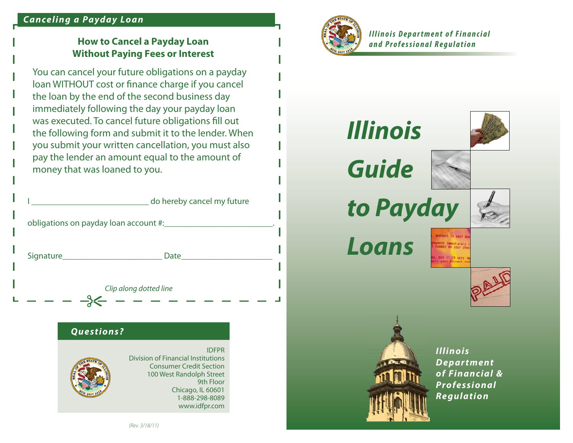### *Canceling a Payday Loan*

# **How to Cancel a Payday Loan Without Paying Fees or Interest**

You can cancel your future obligations on a payday loan WITHOUT cost or finance charge if you cancel the loan by the end of the second business day immediately following the day your payday loan was executed. To cancel future obligations fill out the following form and submit it to the lender. When you submit your written cancellation, you must also pay the lender an amount equal to the amount of money that was loaned to you.

|                                                              | do hereby cancel my future |
|--------------------------------------------------------------|----------------------------|
| obligations on payday loan account #: 1.1 millions on payday |                            |
| Signature Signature                                          | Date                       |
|                                                              | Clip along dotted line     |

#### *Questions?*



IDFPRDivision of Financial InstitutionsConsumer Credit Section100 West Randolph Street 9th FloorChicago, IL 60601 1-888-298-8089www.idfpr.com



**Illinois Department of Financial** *and Professional Regulation*